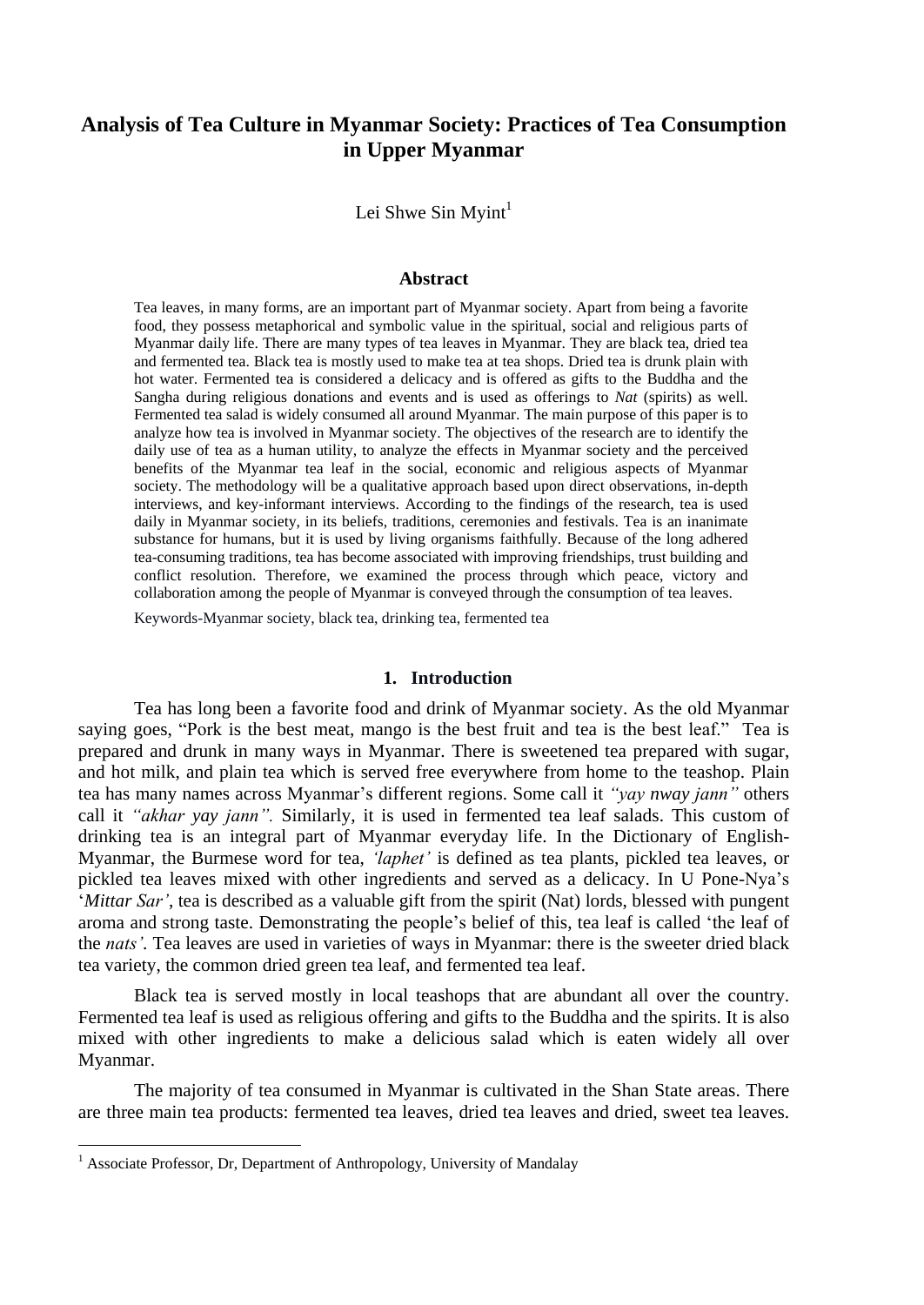# **Analysis of Tea Culture in Myanmar Society: Practices of Tea Consumption in Upper Myanmar**

Lei Shwe Sin Myint $<sup>1</sup>$ </sup>

#### **Abstract**

Tea leaves, in many forms, are an important part of Myanmar society. Apart from being a favorite food, they possess metaphorical and symbolic value in the spiritual, social and religious parts of Myanmar daily life. There are many types of tea leaves in Myanmar. They are black tea, dried tea and fermented tea. Black tea is mostly used to make tea at tea shops. Dried tea is drunk plain with hot water. Fermented tea is considered a delicacy and is offered as gifts to the Buddha and the Sangha during religious donations and events and is used as offerings to *Nat* (spirits) as well. Fermented tea salad is widely consumed all around Myanmar. The main purpose of this paper is to analyze how tea is involved in Myanmar society. The objectives of the research are to identify the daily use of tea as a human utility, to analyze the effects in Myanmar society and the perceived benefits of the Myanmar tea leaf in the social, economic and religious aspects of Myanmar society. The methodology will be a qualitative approach based upon direct observations, in-depth interviews, and key-informant interviews. According to the findings of the research, tea is used daily in Myanmar society, in its beliefs, traditions, ceremonies and festivals. Tea is an inanimate substance for humans, but it is used by living organisms faithfully. Because of the long adhered tea-consuming traditions, tea has become associated with improving friendships, trust building and conflict resolution. Therefore, we examined the process through which peace, victory and collaboration among the people of Myanmar is conveyed through the consumption of tea leaves.

Keywords-Myanmar society, black tea, drinking tea, fermented tea

## **1. Introduction**

Tea has long been a favorite food and drink of Myanmar society. As the old Myanmar saying goes, "Pork is the best meat, mango is the best fruit and tea is the best leaf." Tea is prepared and drunk in many ways in Myanmar. There is sweetened tea prepared with sugar, and hot milk, and plain tea which is served free everywhere from home to the teashop. Plain tea has many names across Myanmar's different regions. Some call it *"yay nway jann"* others call it *"akhar yay jann".* Similarly, it is used in fermented tea leaf salads. This custom of drinking tea is an integral part of Myanmar everyday life. In the Dictionary of English-Myanmar, the Burmese word for tea, *"laphet"* is defined as tea plants, pickled tea leaves, or pickled tea leaves mixed with other ingredients and served as a delicacy. In U Pone-Nya's ‗*Mittar Sar"*, tea is described as a valuable gift from the spirit (Nat) lords, blessed with pungent aroma and strong taste. Demonstrating the people's belief of this, tea leaf is called 'the leaf of the *nats".* Tea leaves are used in varieties of ways in Myanmar: there is the sweeter dried black tea variety, the common dried green tea leaf, and fermented tea leaf.

Black tea is served mostly in local teashops that are abundant all over the country. Fermented tea leaf is used as religious offering and gifts to the Buddha and the spirits. It is also mixed with other ingredients to make a delicious salad which is eaten widely all over Myanmar.

The majority of tea consumed in Myanmar is cultivated in the Shan State areas. There are three main tea products: fermented tea leaves, dried tea leaves and dried, sweet tea leaves.

 $\overline{a}$ 

<sup>&</sup>lt;sup>1</sup> Associate Professor, Dr, Department of Anthropology, University of Mandalay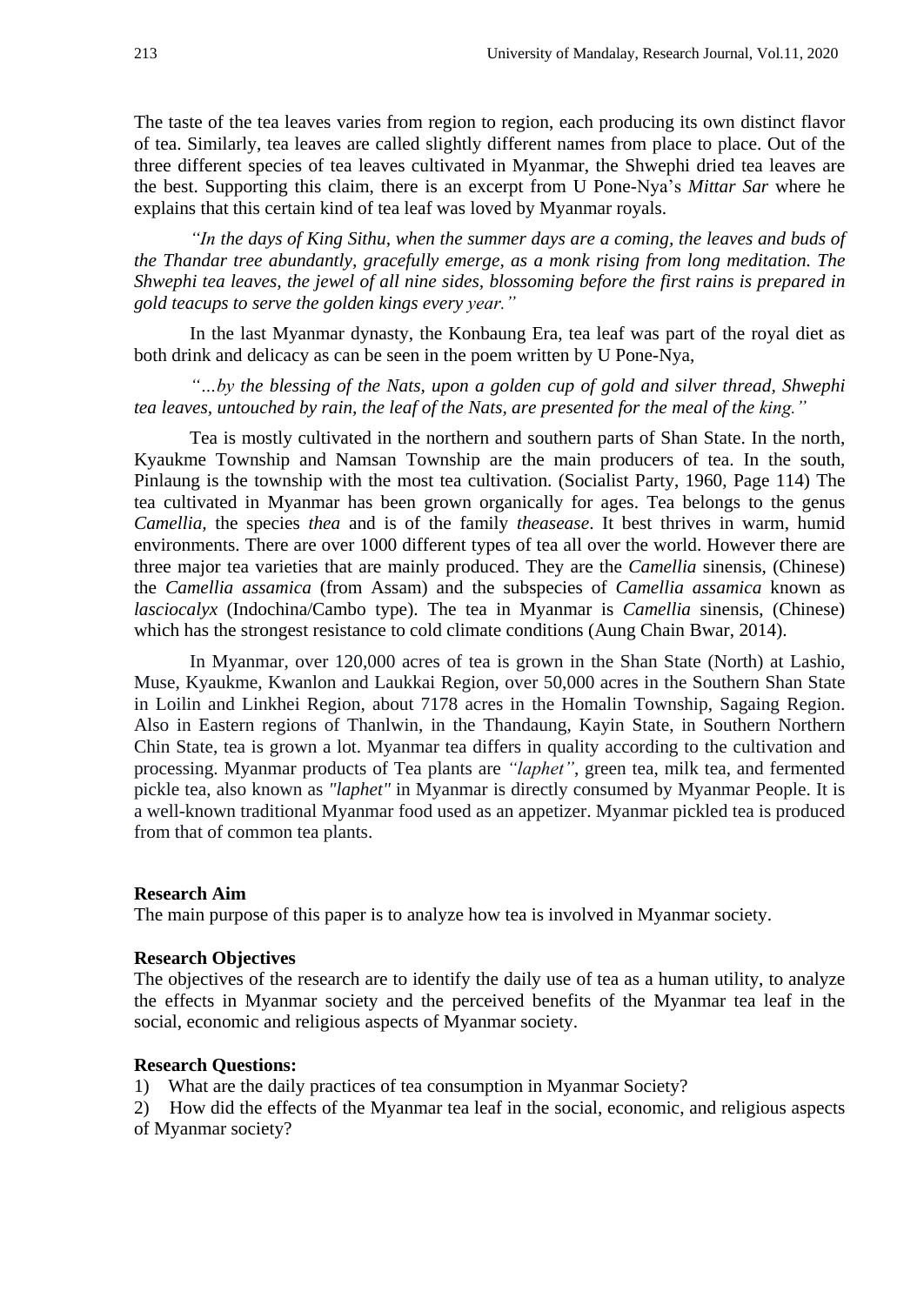The taste of the tea leaves varies from region to region, each producing its own distinct flavor of tea. Similarly, tea leaves are called slightly different names from place to place. Out of the three different species of tea leaves cultivated in Myanmar, the Shwephi dried tea leaves are the best. Supporting this claim, there is an excerpt from U Pone-Nya's *Mittar Sar* where he explains that this certain kind of tea leaf was loved by Myanmar royals.

*"In the days of King Sithu, when the summer days are a coming, the leaves and buds of the Thandar tree abundantly, gracefully emerge, as a monk rising from long meditation. The Shwephi tea leaves, the jewel of all nine sides, blossoming before the first rains is prepared in gold teacups to serve the golden kings every year."*

In the last Myanmar dynasty, the Konbaung Era, tea leaf was part of the royal diet as both drink and delicacy as can be seen in the poem written by U Pone-Nya,

*"…by the blessing of the Nats, upon a golden cup of gold and silver thread, Shwephi tea leaves, untouched by rain, the leaf of the Nats, are presented for the meal of the king."*

Tea is mostly cultivated in the northern and southern parts of Shan State. In the north, Kyaukme Township and Namsan Township are the main producers of tea. In the south, Pinlaung is the township with the most tea cultivation. (Socialist Party, 1960, Page 114) The tea cultivated in Myanmar has been grown organically for ages. Tea belongs to the genus *Camellia,* the species *thea* and is of the family *theasease*. It best thrives in warm, humid environments. There are over 1000 different types of tea all over the world. However there are three major tea varieties that are mainly produced. They are the *Camellia* sinensis, (Chinese) the *Camellia assamica* (from Assam) and the subspecies of *Camellia assamica* known as *lasciocalyx* (Indochina/Cambo type). The tea in Myanmar is *Camellia* sinensis, (Chinese) which has the strongest resistance to cold climate conditions (Aung Chain Bwar, 2014).

In Myanmar, over 120,000 acres of tea is grown in the Shan State (North) at Lashio, Muse, Kyaukme, Kwanlon and Laukkai Region, over 50,000 acres in the Southern Shan State in Loilin and Linkhei Region, about 7178 acres in the Homalin Township, Sagaing Region. Also in Eastern regions of Thanlwin, in the Thandaung, Kayin State, in Southern Northern Chin State, tea is grown a lot. Myanmar tea differs in quality according to the cultivation and processing. Myanmar products of Tea plants are *"laphet"*, green tea, milk tea, and fermented pickle tea, also known as *"laphet"* in Myanmar is directly consumed by Myanmar People. It is a well-known traditional Myanmar food used as an appetizer. Myanmar pickled tea is produced from that of common tea plants.

#### **Research Aim**

The main purpose of this paper is to analyze how tea is involved in Myanmar society.

## **Research Objectives**

The objectives of the research are to identify the daily use of tea as a human utility, to analyze the effects in Myanmar society and the perceived benefits of the Myanmar tea leaf in the social, economic and religious aspects of Myanmar society.

## **Research Questions:**

1) What are the daily practices of tea consumption in Myanmar Society?

2) How did the effects of the Myanmar tea leaf in the social, economic, and religious aspects of Myanmar society?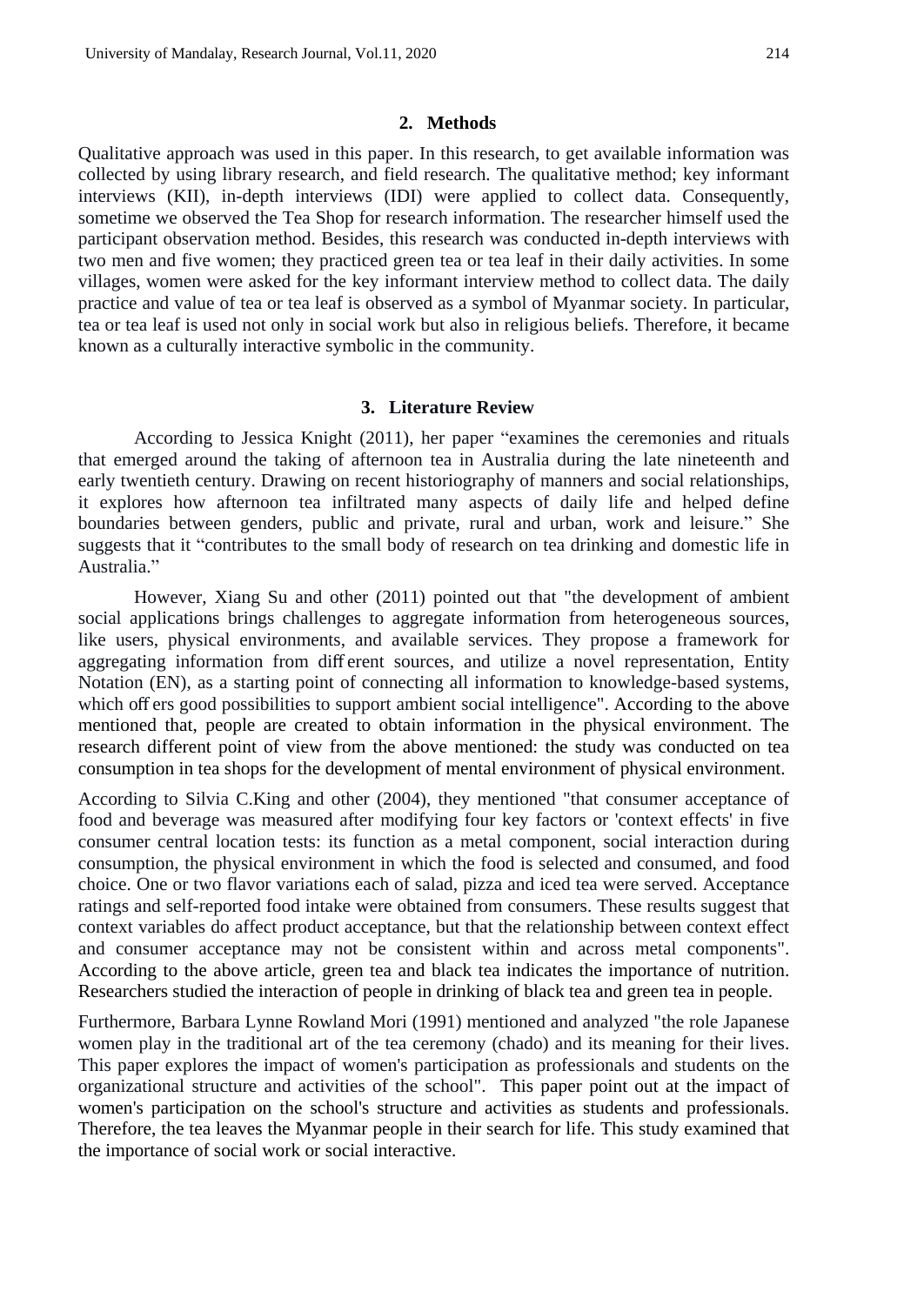#### **2. Methods**

Qualitative approach was used in this paper. In this research, to get available information was collected by using library research, and field research. The qualitative method; key informant interviews (KII), in-depth interviews (IDI) were applied to collect data. Consequently, sometime we observed the Tea Shop for research information. The researcher himself used the participant observation method. Besides, this research was conducted in-depth interviews with two men and five women; they practiced green tea or tea leaf in their daily activities. In some villages, women were asked for the key informant interview method to collect data. The daily practice and value of tea or tea leaf is observed as a symbol of Myanmar society. In particular, tea or tea leaf is used not only in social work but also in religious beliefs. Therefore, it became known as a culturally interactive symbolic in the community.

#### **3. Literature Review**

According to Jessica Knight (2011), her paper "examines the ceremonies and rituals that emerged around the taking of afternoon tea in Australia during the late nineteenth and early twentieth century. Drawing on recent historiography of manners and social relationships, it explores how afternoon tea infiltrated many aspects of daily life and helped define boundaries between genders, public and private, rural and urban, work and leisure." She suggests that it "contributes to the small body of research on tea drinking and domestic life in Australia."

However, Xiang Su and other (2011) pointed out that "the development of ambient social applications brings challenges to aggregate information from heterogeneous sources, like users, physical environments, and available services. They propose a framework for aggregating information from diff erent sources, and utilize a novel representation, Entity Notation (EN), as a starting point of connecting all information to knowledge-based systems, which off ers good possibilities to support ambient social intelligence". According to the above mentioned that, people are created to obtain information in the physical environment. The research different point of view from the above mentioned: the study was conducted on tea consumption in tea shops for the development of mental environment of physical environment.

According to Silvia C.King and other (2004), they mentioned "that consumer acceptance of food and beverage was measured after modifying four key factors or 'context effects' in five consumer central location tests: its function as a metal component, social interaction during consumption, the physical environment in which the food is selected and consumed, and food choice. One or two flavor variations each of salad, pizza and iced tea were served. Acceptance ratings and self-reported food intake were obtained from consumers. These results suggest that context variables do affect product acceptance, but that the relationship between context effect and consumer acceptance may not be consistent within and across metal components". According to the above article, green tea and black tea indicates the importance of nutrition. Researchers studied the interaction of people in drinking of black tea and green tea in people.

Furthermore, Barbara Lynne Rowland Mori (1991) mentioned and analyzed "the role Japanese women play in the traditional art of the tea ceremony (chado) and its meaning for their lives. This paper explores the impact of women's participation as professionals and students on the organizational structure and activities of the school". This paper point out at the impact of women's participation on the school's structure and activities as students and professionals. Therefore, the tea leaves the Myanmar people in their search for life. This study examined that the importance of social work or social interactive.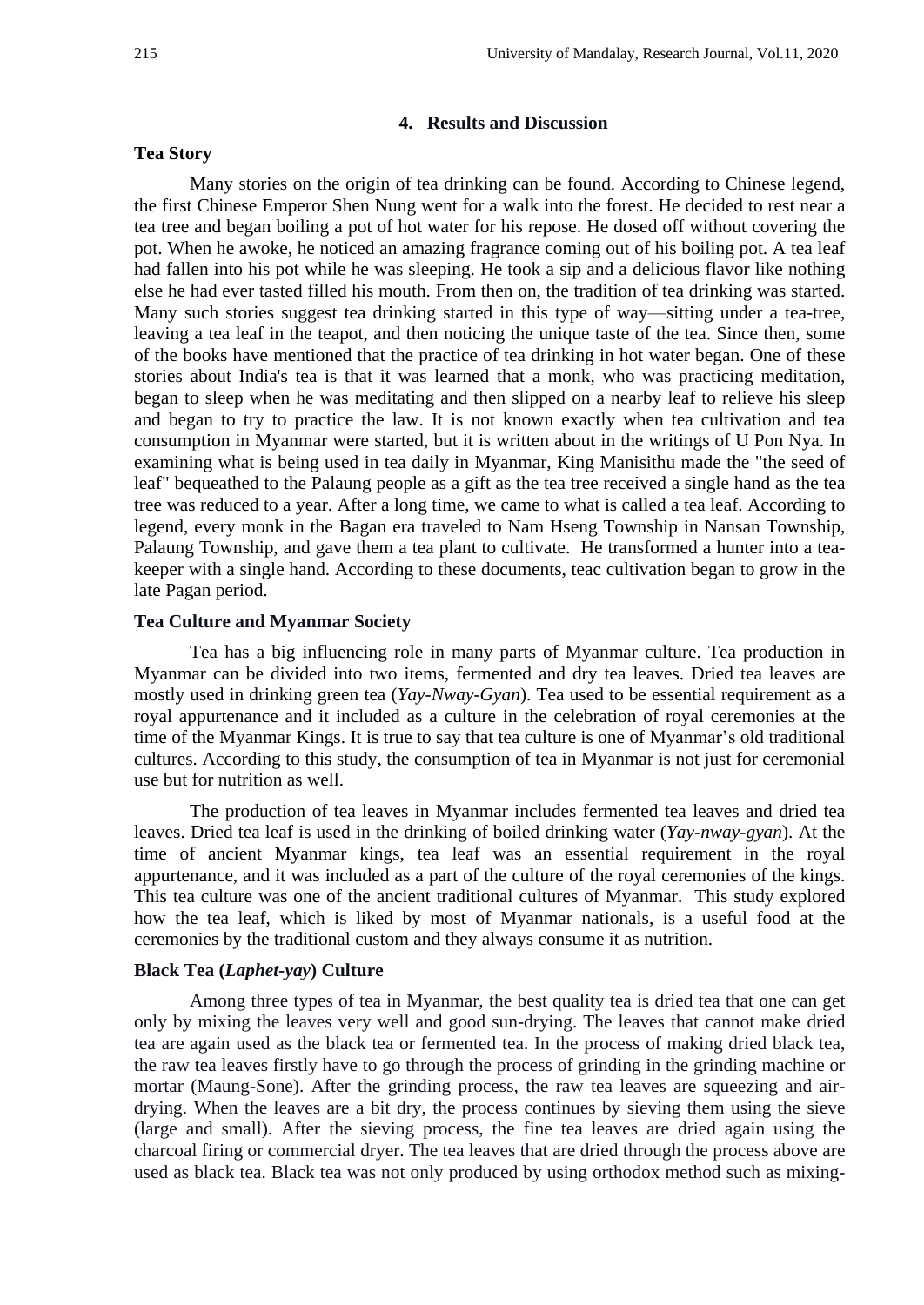## **4. Results and Discussion**

## **Tea Story**

Many stories on the origin of tea drinking can be found. According to Chinese legend, the first Chinese Emperor Shen Nung went for a walk into the forest. He decided to rest near a tea tree and began boiling a pot of hot water for his repose. He dosed off without covering the pot. When he awoke, he noticed an amazing fragrance coming out of his boiling pot. A tea leaf had fallen into his pot while he was sleeping. He took a sip and a delicious flavor like nothing else he had ever tasted filled his mouth. From then on, the tradition of tea drinking was started. Many such stories suggest tea drinking started in this type of way—sitting under a tea-tree, leaving a tea leaf in the teapot, and then noticing the unique taste of the tea. Since then, some of the books have mentioned that the practice of tea drinking in hot water began. One of these stories about India's tea is that it was learned that a monk, who was practicing meditation, began to sleep when he was meditating and then slipped on a nearby leaf to relieve his sleep and began to try to practice the law. It is not known exactly when tea cultivation and tea consumption in Myanmar were started, but it is written about in the writings of U Pon Nya. In examining what is being used in tea daily in Myanmar, King Manisithu made the "the seed of leaf" bequeathed to the Palaung people as a gift as the tea tree received a single hand as the tea tree was reduced to a year. After a long time, we came to what is called a tea leaf. According to legend, every monk in the Bagan era traveled to Nam Hseng Township in Nansan Township, Palaung Township, and gave them a tea plant to cultivate. He transformed a hunter into a teakeeper with a single hand. According to these documents, teac cultivation began to grow in the late Pagan period.

#### **Tea Culture and Myanmar Society**

Tea has a big influencing role in many parts of Myanmar culture. Tea production in Myanmar can be divided into two items, fermented and dry tea leaves. Dried tea leaves are mostly used in drinking green tea (*Yay-Nway-Gyan*). Tea used to be essential requirement as a royal appurtenance and it included as a culture in the celebration of royal ceremonies at the time of the Myanmar Kings. It is true to say that tea culture is one of Myanmar's old traditional cultures. According to this study, the consumption of tea in Myanmar is not just for ceremonial use but for nutrition as well.

The production of tea leaves in Myanmar includes fermented tea leaves and dried tea leaves. Dried tea leaf is used in the drinking of boiled drinking water (*Yay-nway-gyan*). At the time of ancient Myanmar kings, tea leaf was an essential requirement in the royal appurtenance, and it was included as a part of the culture of the royal ceremonies of the kings. This tea culture was one of the ancient traditional cultures of Myanmar. This study explored how the tea leaf, which is liked by most of Myanmar nationals, is a useful food at the ceremonies by the traditional custom and they always consume it as nutrition.

#### **Black Tea (***Laphet-yay***) Culture**

Among three types of tea in Myanmar, the best quality tea is dried tea that one can get only by mixing the leaves very well and good sun-drying. The leaves that cannot make dried tea are again used as the black tea or fermented tea. In the process of making dried black tea, the raw tea leaves firstly have to go through the process of grinding in the grinding machine or mortar (Maung-Sone). After the grinding process, the raw tea leaves are squeezing and airdrying. When the leaves are a bit dry, the process continues by sieving them using the sieve (large and small). After the sieving process, the fine tea leaves are dried again using the charcoal firing or commercial dryer. The tea leaves that are dried through the process above are used as black tea. Black tea was not only produced by using orthodox method such as mixing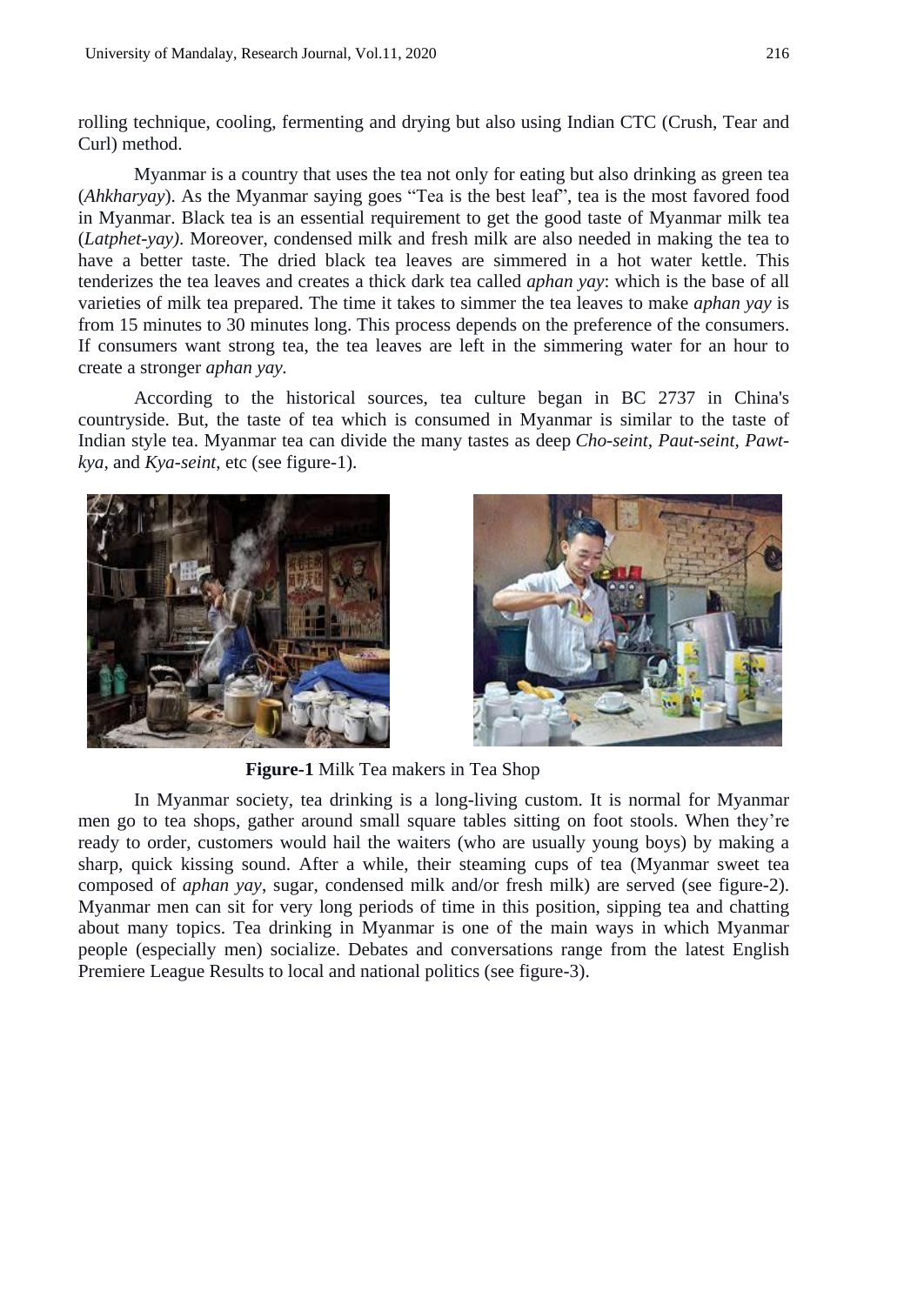rolling technique, cooling, fermenting and drying but also using Indian CTC (Crush, Tear and Curl) method.

Myanmar is a country that uses the tea not only for eating but also drinking as green tea (*Ahkharyay*). As the Myanmar saying goes "Tea is the best leaf", tea is the most favored food in Myanmar. Black tea is an essential requirement to get the good taste of Myanmar milk tea (*Latphet-yay)*. Moreover, condensed milk and fresh milk are also needed in making the tea to have a better taste. The dried black tea leaves are simmered in a hot water kettle. This tenderizes the tea leaves and creates a thick dark tea called *aphan yay*: which is the base of all varieties of milk tea prepared. The time it takes to simmer the tea leaves to make *aphan yay* is from 15 minutes to 30 minutes long. This process depends on the preference of the consumers. If consumers want strong tea, the tea leaves are left in the simmering water for an hour to create a stronger *aphan yay.*

According to the historical sources, tea culture began in BC 2737 in China's countryside. But, the taste of tea which is consumed in Myanmar is similar to the taste of Indian style tea. Myanmar tea can divide the many tastes as deep *Cho-seint, Paut-seint, Pawtkya,* and *Kya-seint*, etc (see figure-1).





**Figure-1** Milk Tea makers in Tea Shop

In Myanmar society, tea drinking is a long-living custom. It is normal for Myanmar men go to tea shops, gather around small square tables sitting on foot stools. When they're ready to order, customers would hail the waiters (who are usually young boys) by making a sharp, quick kissing sound. After a while, their steaming cups of tea (Myanmar sweet tea composed of *aphan yay*, sugar, condensed milk and/or fresh milk) are served (see figure-2). Myanmar men can sit for very long periods of time in this position, sipping tea and chatting about many topics. Tea drinking in Myanmar is one of the main ways in which Myanmar people (especially men) socialize. Debates and conversations range from the latest English Premiere League Results to local and national politics (see figure-3).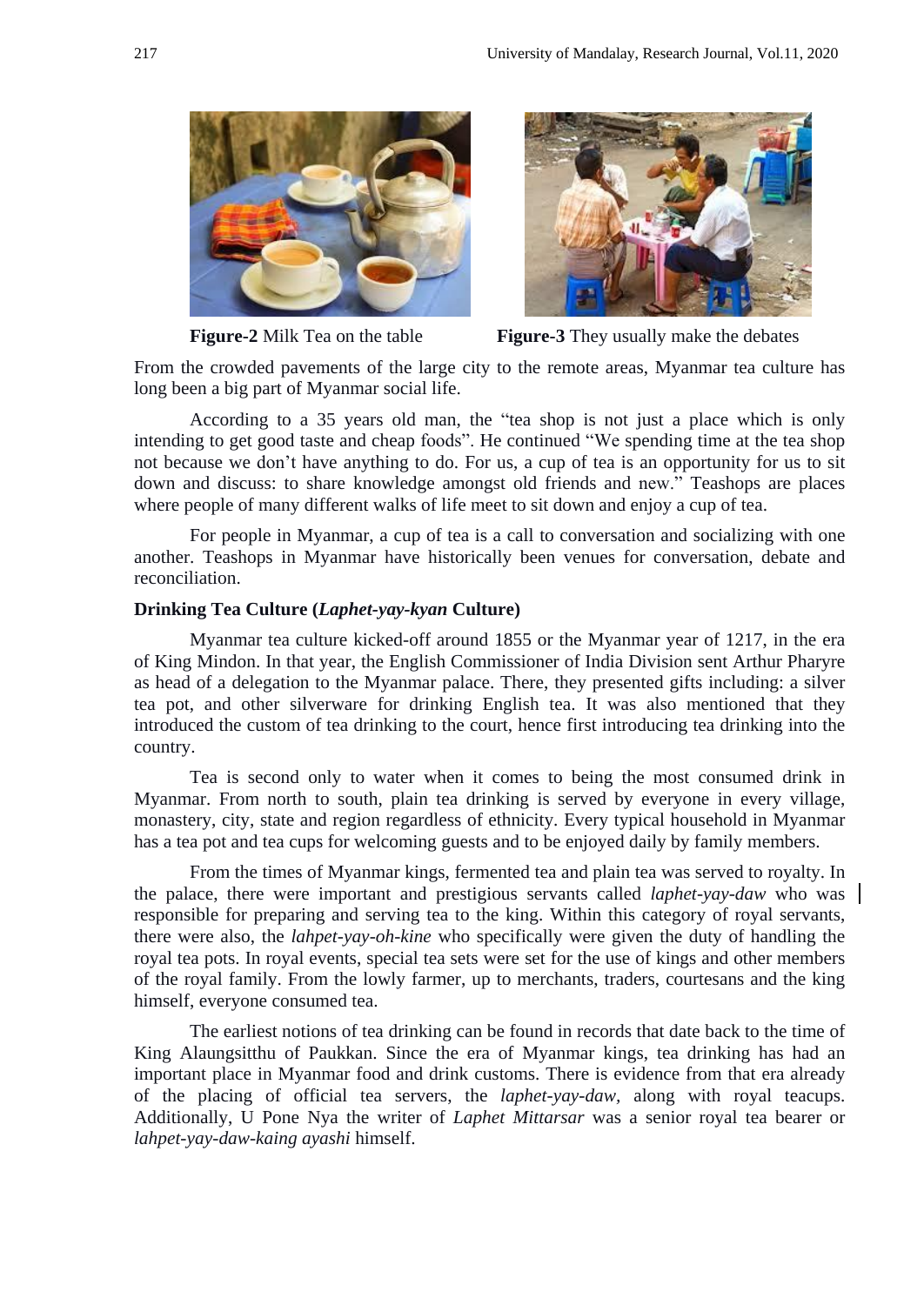



**Figure-2** Milk Tea on the table **Figure-3** They usually make the debates

From the crowded pavements of the large city to the remote areas, Myanmar tea culture has long been a big part of Myanmar social life.

According to a 35 years old man, the "tea shop is not just a place which is only intending to get good taste and cheap foods". He continued "We spending time at the tea shop not because we don't have anything to do. For us, a cup of tea is an opportunity for us to sit down and discuss: to share knowledge amongst old friends and new." Teashops are places where people of many different walks of life meet to sit down and enjoy a cup of tea.

For people in Myanmar, a cup of tea is a call to conversation and socializing with one another. Teashops in Myanmar have historically been venues for conversation, debate and reconciliation.

#### **Drinking Tea Culture (***Laphet-yay-kyan* **Culture)**

Myanmar tea culture kicked-off around 1855 or the Myanmar year of 1217, in the era of King Mindon. In that year, the English Commissioner of India Division sent Arthur Pharyre as head of a delegation to the Myanmar palace. There, they presented gifts including: a silver tea pot, and other silverware for drinking English tea. It was also mentioned that they introduced the custom of tea drinking to the court, hence first introducing tea drinking into the country.

Tea is second only to water when it comes to being the most consumed drink in Myanmar. From north to south, plain tea drinking is served by everyone in every village, monastery, city, state and region regardless of ethnicity. Every typical household in Myanmar has a tea pot and tea cups for welcoming guests and to be enjoyed daily by family members.

From the times of Myanmar kings, fermented tea and plain tea was served to royalty. In the palace, there were important and prestigious servants called *laphet-yay-daw* who was responsible for preparing and serving tea to the king. Within this category of royal servants, there were also, the *lahpet-yay-oh-kine* who specifically were given the duty of handling the royal tea pots. In royal events, special tea sets were set for the use of kings and other members of the royal family. From the lowly farmer, up to merchants, traders, courtesans and the king himself, everyone consumed tea.

The earliest notions of tea drinking can be found in records that date back to the time of King Alaungsitthu of Paukkan. Since the era of Myanmar kings, tea drinking has had an important place in Myanmar food and drink customs. There is evidence from that era already of the placing of official tea servers, the *laphet-yay-daw,* along with royal teacups. Additionally, U Pone Nya the writer of *Laphet Mittarsar* was a senior royal tea bearer or *lahpet-yay-daw-kaing ayashi* himself.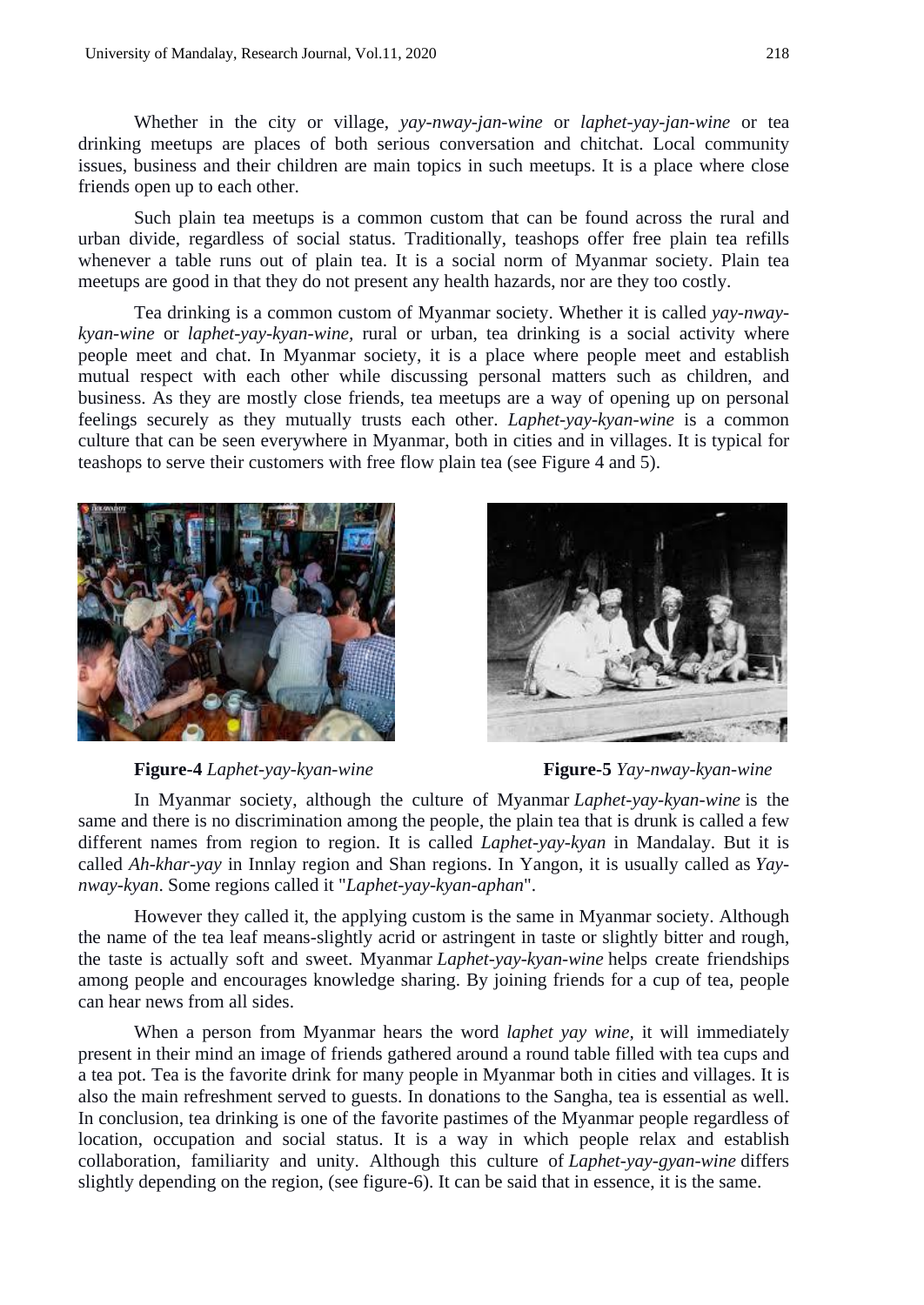Whether in the city or village, *yay-nway-jan-wine* or *laphet-yay-jan-wine* or tea drinking meetups are places of both serious conversation and chitchat. Local community issues, business and their children are main topics in such meetups. It is a place where close friends open up to each other.

Such plain tea meetups is a common custom that can be found across the rural and urban divide, regardless of social status. Traditionally, teashops offer free plain tea refills whenever a table runs out of plain tea. It is a social norm of Myanmar society. Plain tea meetups are good in that they do not present any health hazards, nor are they too costly.

Tea drinking is a common custom of Myanmar society. Whether it is called *yay-nwaykyan-wine* or *laphet-yay-kyan-wine,* rural or urban, tea drinking is a social activity where people meet and chat. In Myanmar society, it is a place where people meet and establish mutual respect with each other while discussing personal matters such as children, and business. As they are mostly close friends, tea meetups are a way of opening up on personal feelings securely as they mutually trusts each other. *Laphet-yay-kyan-wine* is a common culture that can be seen everywhere in Myanmar, both in cities and in villages. It is typical for teashops to serve their customers with free flow plain tea (see Figure 4 and 5).





**Figure-4** *Laphet-yay-kyan-wine* **Figure-5** *Yay-nway-kyan-wine*

In Myanmar society, although the culture of Myanmar *Laphet-yay-kyan-wine* is the same and there is no discrimination among the people, the plain tea that is drunk is called a few different names from region to region. It is called *Laphet-yay-kyan* in Mandalay. But it is called *Ah-khar-yay* in Innlay region and Shan regions. In Yangon, it is usually called as *Yaynway-kyan*. Some regions called it "*Laphet-yay-kyan-aphan*".

However they called it, the applying custom is the same in Myanmar society. Although the name of the tea leaf means-slightly acrid or astringent in taste or slightly bitter and rough, the taste is actually soft and sweet. Myanmar *Laphet-yay-kyan-wine* helps create friendships among people and encourages knowledge sharing. By joining friends for a cup of tea, people can hear news from all sides.

When a person from Myanmar hears the word *laphet yay wine,* it will immediately present in their mind an image of friends gathered around a round table filled with tea cups and a tea pot. Tea is the favorite drink for many people in Myanmar both in cities and villages. It is also the main refreshment served to guests. In donations to the Sangha, tea is essential as well. In conclusion, tea drinking is one of the favorite pastimes of the Myanmar people regardless of location, occupation and social status. It is a way in which people relax and establish collaboration, familiarity and unity. Although this culture of *Laphet-yay-gyan-wine* differs slightly depending on the region, (see figure-6). It can be said that in essence, it is the same.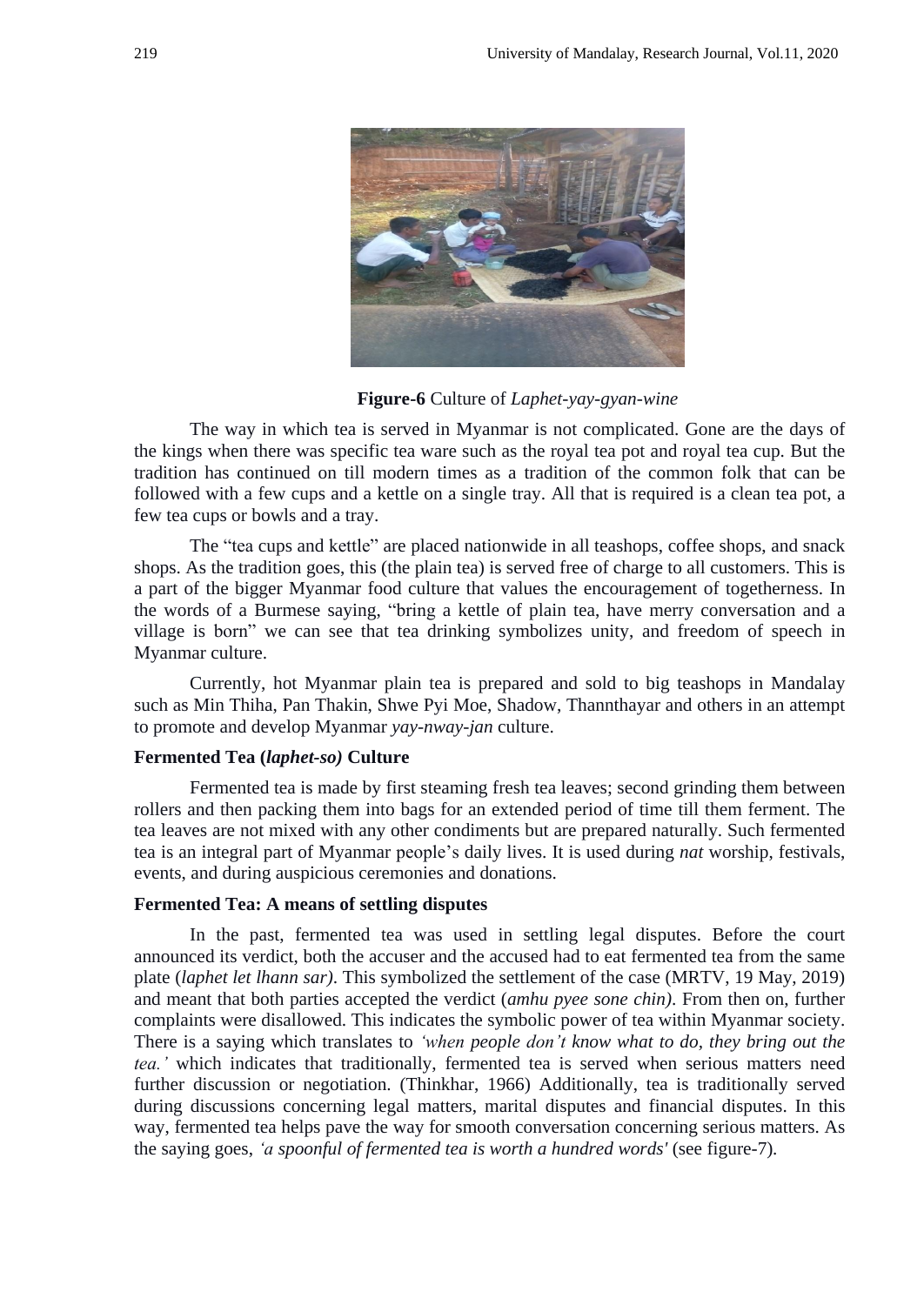

**Figure-6** Culture of *Laphet-yay-gyan-wine*

The way in which tea is served in Myanmar is not complicated. Gone are the days of the kings when there was specific tea ware such as the royal tea pot and royal tea cup. But the tradition has continued on till modern times as a tradition of the common folk that can be followed with a few cups and a kettle on a single tray. All that is required is a clean tea pot, a few tea cups or bowls and a tray.

The "tea cups and kettle" are placed nationwide in all teashops, coffee shops, and snack shops. As the tradition goes, this (the plain tea) is served free of charge to all customers. This is a part of the bigger Myanmar food culture that values the encouragement of togetherness. In the words of a Burmese saying, "bring a kettle of plain tea, have merry conversation and a village is born" we can see that tea drinking symbolizes unity, and freedom of speech in Myanmar culture.

Currently, hot Myanmar plain tea is prepared and sold to big teashops in Mandalay such as Min Thiha, Pan Thakin, Shwe Pyi Moe, Shadow, Thannthayar and others in an attempt to promote and develop Myanmar *yay-nway-jan* culture.

## **Fermented Tea (***laphet-so)* **Culture**

Fermented tea is made by first steaming fresh tea leaves; second grinding them between rollers and then packing them into bags for an extended period of time till them ferment. The tea leaves are not mixed with any other condiments but are prepared naturally. Such fermented tea is an integral part of Myanmar people's daily lives. It is used during *nat* worship, festivals, events, and during auspicious ceremonies and donations.

#### **Fermented Tea: A means of settling disputes**

In the past, fermented tea was used in settling legal disputes. Before the court announced its verdict, both the accuser and the accused had to eat fermented tea from the same plate (*laphet let lhann sar)*. This symbolized the settlement of the case (MRTV, 19 May, 2019) and meant that both parties accepted the verdict (*amhu pyee sone chin)*. From then on, further complaints were disallowed. This indicates the symbolic power of tea within Myanmar society. There is a saying which translates to *"when people don"t know what to do, they bring out the tea."* which indicates that traditionally, fermented tea is served when serious matters need further discussion or negotiation. (Thinkhar, 1966) Additionally, tea is traditionally served during discussions concerning legal matters, marital disputes and financial disputes. In this way, fermented tea helps pave the way for smooth conversation concerning serious matters. As the saying goes, *"a spoonful of fermented tea is worth a hundred words'* (see figure-7)*.*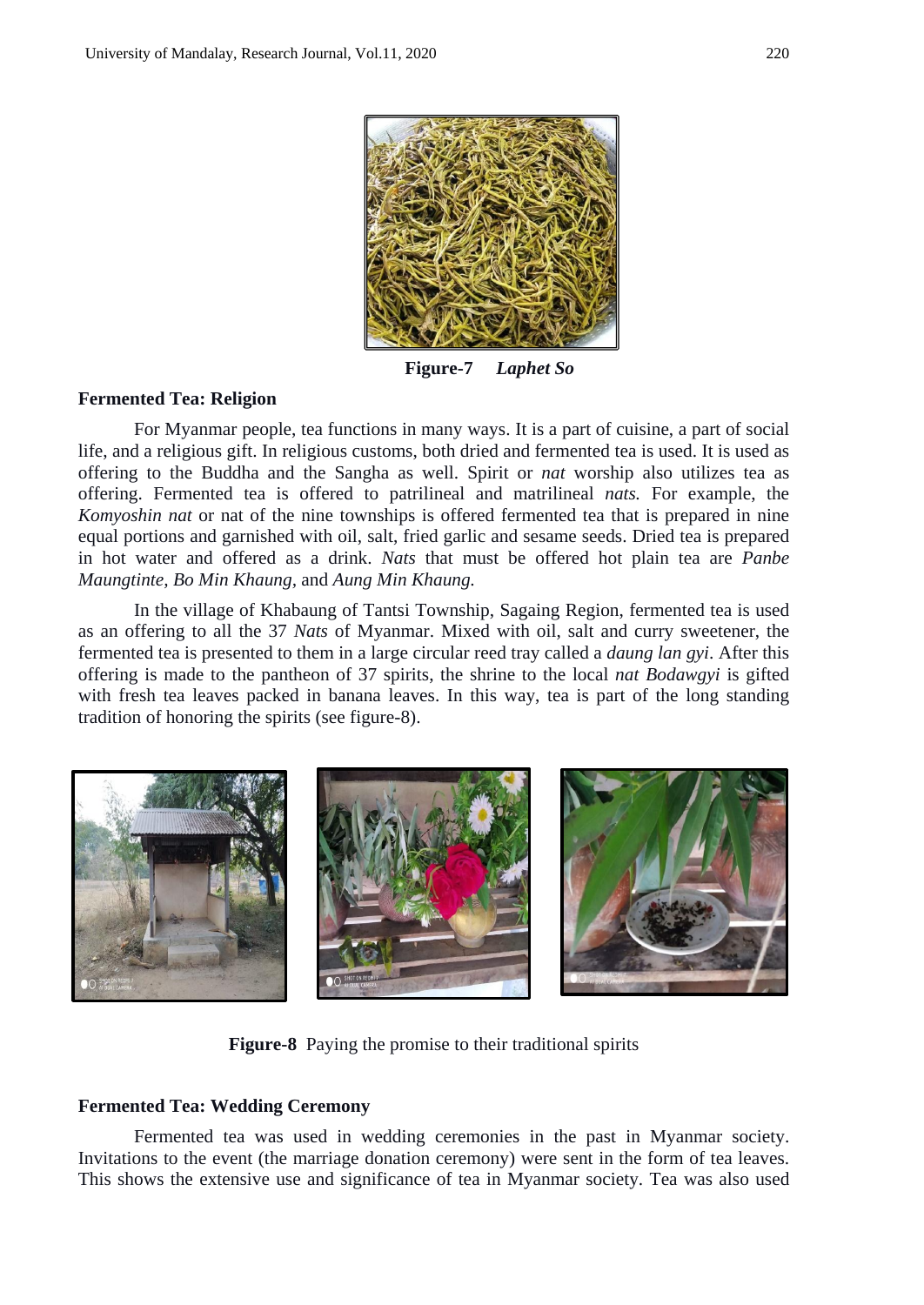

**Figure-7** *Laphet So*

## **Fermented Tea: Religion**

For Myanmar people, tea functions in many ways. It is a part of cuisine, a part of social life, and a religious gift. In religious customs, both dried and fermented tea is used. It is used as offering to the Buddha and the Sangha as well. Spirit or *nat* worship also utilizes tea as offering. Fermented tea is offered to patrilineal and matrilineal *nats.* For example, the *Komyoshin nat* or nat of the nine townships is offered fermented tea that is prepared in nine equal portions and garnished with oil, salt, fried garlic and sesame seeds. Dried tea is prepared in hot water and offered as a drink. *Nats* that must be offered hot plain tea are *Panbe Maungtinte, Bo Min Khaung,* and *Aung Min Khaung.*

In the village of Khabaung of Tantsi Township, Sagaing Region, fermented tea is used as an offering to all the 37 *Nats* of Myanmar. Mixed with oil, salt and curry sweetener, the fermented tea is presented to them in a large circular reed tray called a *daung lan gyi*. After this offering is made to the pantheon of 37 spirits, the shrine to the local *nat Bodawgyi* is gifted with fresh tea leaves packed in banana leaves. In this way, tea is part of the long standing tradition of honoring the spirits (see figure-8).



**Figure-8** Paying the promise to their traditional spirits

#### **Fermented Tea: Wedding Ceremony**

Fermented tea was used in wedding ceremonies in the past in Myanmar society. Invitations to the event (the marriage donation ceremony) were sent in the form of tea leaves. This shows the extensive use and significance of tea in Myanmar society. Tea was also used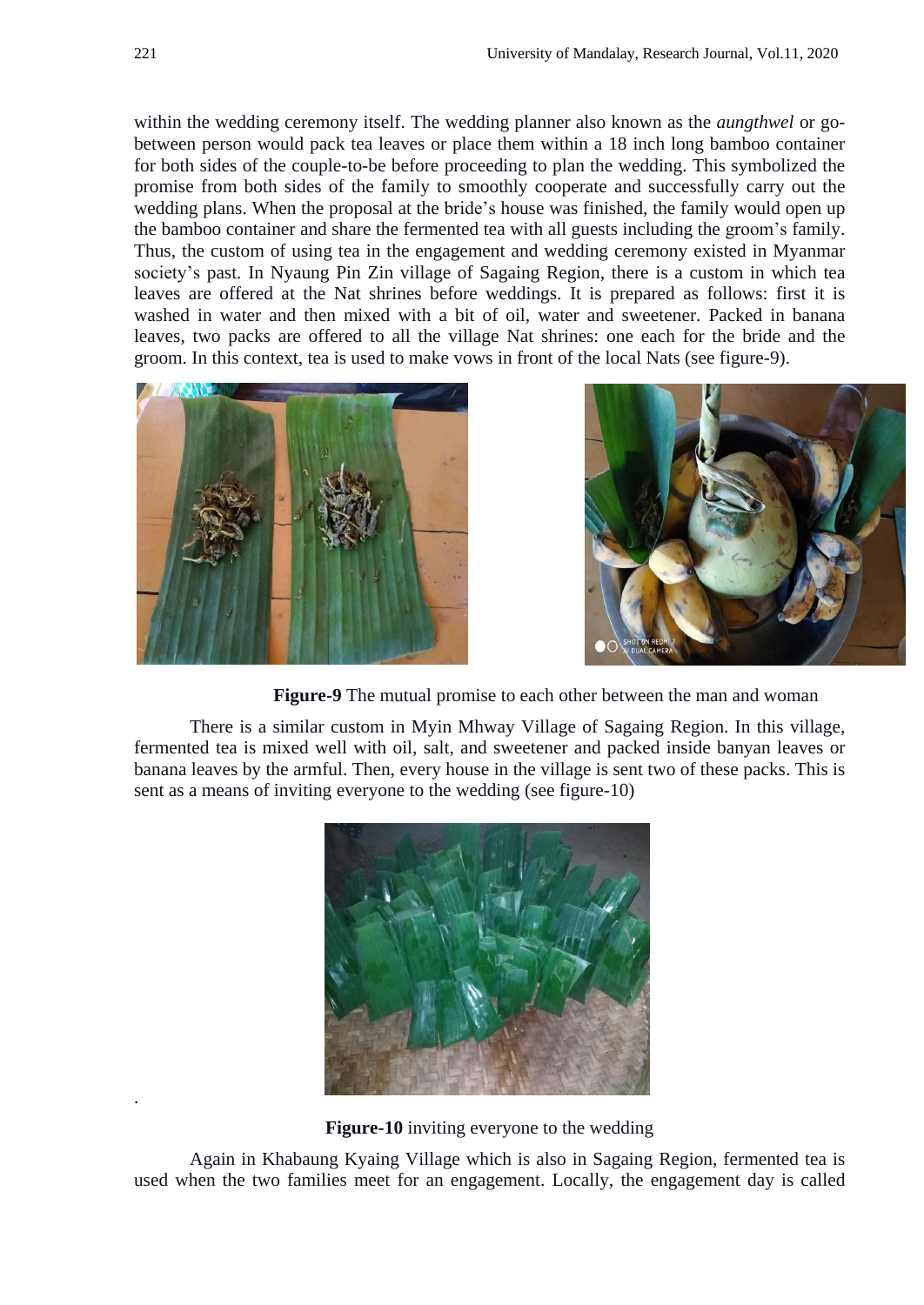within the wedding ceremony itself. The wedding planner also known as the *aungthwel* or gobetween person would pack tea leaves or place them within a 18 inch long bamboo container for both sides of the couple-to-be before proceeding to plan the wedding. This symbolized the promise from both sides of the family to smoothly cooperate and successfully carry out the wedding plans. When the proposal at the bride's house was finished, the family would open up the bamboo container and share the fermented tea with all guests including the groom's family. Thus, the custom of using tea in the engagement and wedding ceremony existed in Myanmar society's past. In Nyaung Pin Zin village of Sagaing Region, there is a custom in which tea leaves are offered at the Nat shrines before weddings. It is prepared as follows: first it is washed in water and then mixed with a bit of oil, water and sweetener. Packed in banana leaves, two packs are offered to all the village Nat shrines: one each for the bride and the groom. In this context, tea is used to make vows in front of the local Nats (see figure-9).





 **Figure-9** The mutual promise to each other between the man and woman

There is a similar custom in Myin Mhway Village of Sagaing Region. In this village, fermented tea is mixed well with oil, salt, and sweetener and packed inside banyan leaves or banana leaves by the armful. Then, every house in the village is sent two of these packs. This is sent as a means of inviting everyone to the wedding (see figure-10)



**Figure-10** inviting everyone to the wedding

Again in Khabaung Kyaing Village which is also in Sagaing Region, fermented tea is used when the two families meet for an engagement. Locally, the engagement day is called

.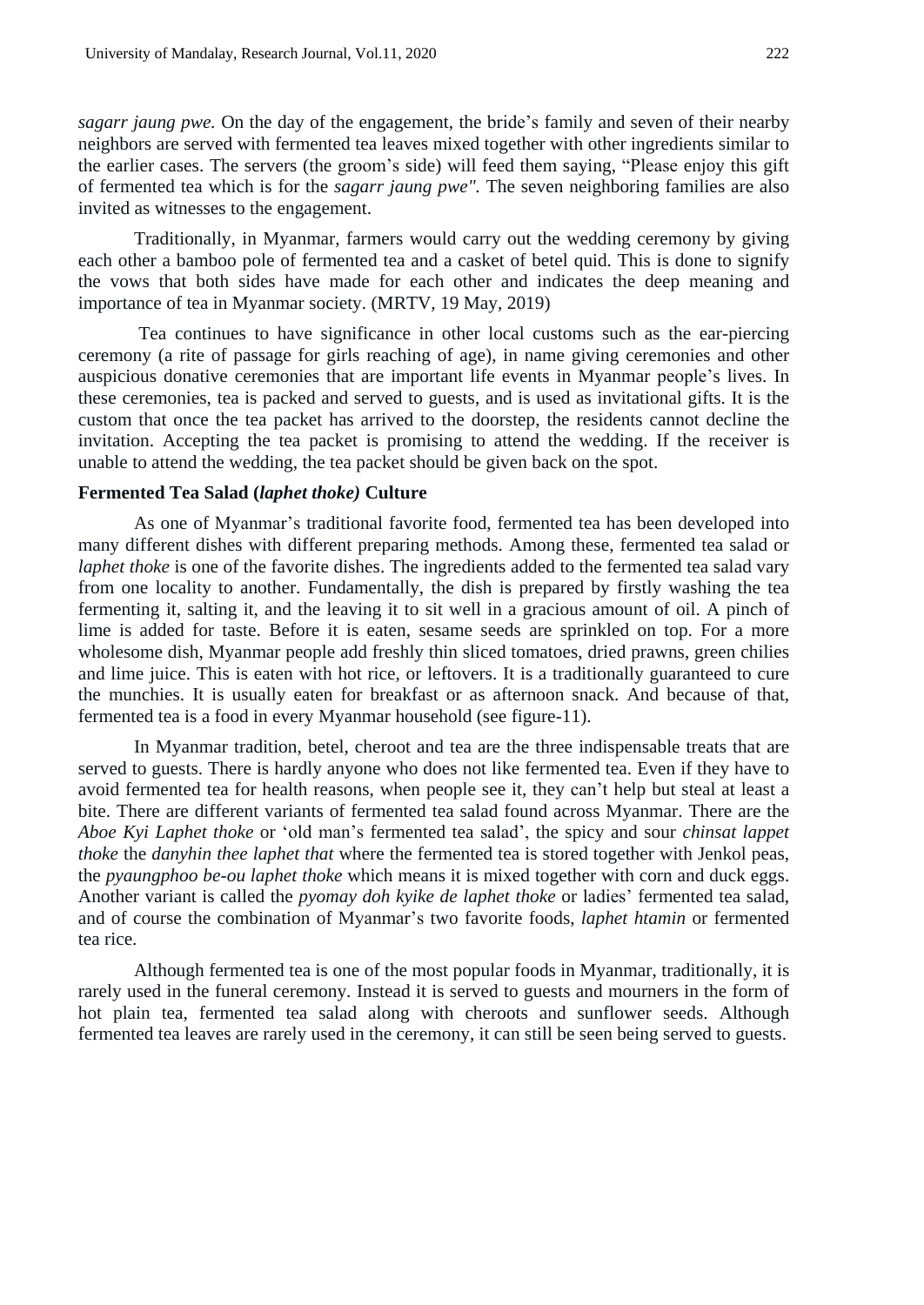*sagarr jaung pwe.* On the day of the engagement, the bride's family and seven of their nearby neighbors are served with fermented tea leaves mixed together with other ingredients similar to the earlier cases. The servers (the groom's side) will feed them saying, "Please enjoy this gift of fermented tea which is for the *sagarr jaung pwe".* The seven neighboring families are also invited as witnesses to the engagement.

Traditionally, in Myanmar, farmers would carry out the wedding ceremony by giving each other a bamboo pole of fermented tea and a casket of betel quid. This is done to signify the vows that both sides have made for each other and indicates the deep meaning and importance of tea in Myanmar society. (MRTV, 19 May, 2019)

Tea continues to have significance in other local customs such as the ear-piercing ceremony (a rite of passage for girls reaching of age), in name giving ceremonies and other auspicious donative ceremonies that are important life events in Myanmar people's lives. In these ceremonies, tea is packed and served to guests, and is used as invitational gifts. It is the custom that once the tea packet has arrived to the doorstep, the residents cannot decline the invitation. Accepting the tea packet is promising to attend the wedding. If the receiver is unable to attend the wedding, the tea packet should be given back on the spot.

### **Fermented Tea Salad (***laphet thoke)* **Culture**

As one of Myanmar's traditional favorite food, fermented tea has been developed into many different dishes with different preparing methods. Among these, fermented tea salad or *laphet thoke* is one of the favorite dishes. The ingredients added to the fermented tea salad vary from one locality to another. Fundamentally, the dish is prepared by firstly washing the tea fermenting it, salting it, and the leaving it to sit well in a gracious amount of oil. A pinch of lime is added for taste. Before it is eaten, sesame seeds are sprinkled on top. For a more wholesome dish, Myanmar people add freshly thin sliced tomatoes, dried prawns, green chilies and lime juice. This is eaten with hot rice, or leftovers. It is a traditionally guaranteed to cure the munchies. It is usually eaten for breakfast or as afternoon snack. And because of that, fermented tea is a food in every Myanmar household (see figure-11).

In Myanmar tradition, betel, cheroot and tea are the three indispensable treats that are served to guests. There is hardly anyone who does not like fermented tea. Even if they have to avoid fermented tea for health reasons, when people see it, they can't help but steal at least a bite. There are different variants of fermented tea salad found across Myanmar. There are the *Aboe Kyi Laphet thoke* or 'old man's fermented tea salad', the spicy and sour *chinsat lappet thoke* the *danyhin thee laphet that* where the fermented tea is stored together with Jenkol peas, the *pyaungphoo be-ou laphet thoke* which means it is mixed together with corn and duck eggs. Another variant is called the *pyomay doh kyike de laphet thoke* or ladies' fermented tea salad, and of course the combination of Myanmar's two favorite foods, *laphet htamin* or fermented tea rice.

Although fermented tea is one of the most popular foods in Myanmar, traditionally, it is rarely used in the funeral ceremony. Instead it is served to guests and mourners in the form of hot plain tea, fermented tea salad along with cheroots and sunflower seeds. Although fermented tea leaves are rarely used in the ceremony, it can still be seen being served to guests.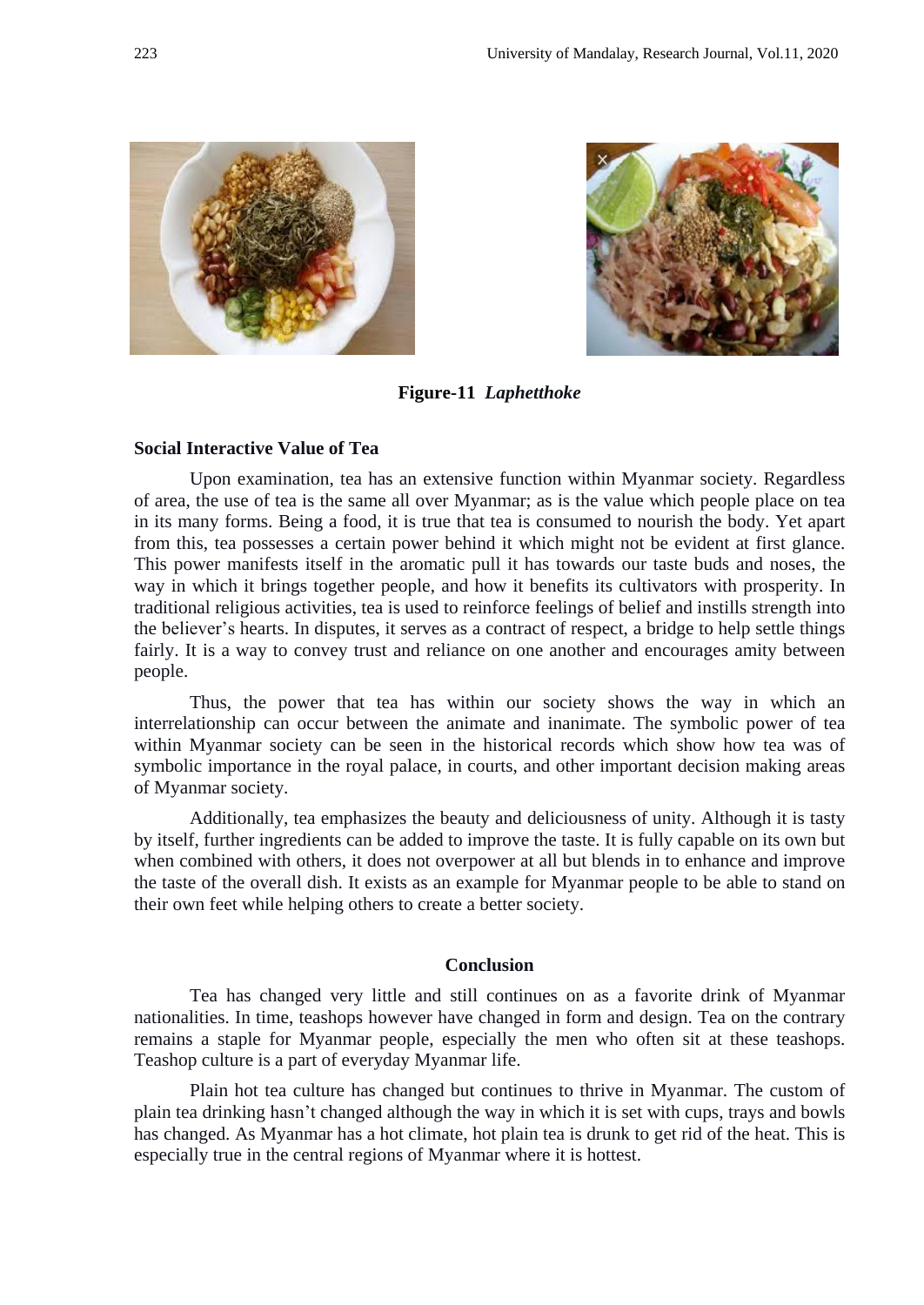



**Figure-11** *Laphetthoke*

#### **Social Interactive Value of Tea**

Upon examination, tea has an extensive function within Myanmar society. Regardless of area, the use of tea is the same all over Myanmar; as is the value which people place on tea in its many forms. Being a food, it is true that tea is consumed to nourish the body. Yet apart from this, tea possesses a certain power behind it which might not be evident at first glance. This power manifests itself in the aromatic pull it has towards our taste buds and noses, the way in which it brings together people, and how it benefits its cultivators with prosperity. In traditional religious activities, tea is used to reinforce feelings of belief and instills strength into the believer's hearts. In disputes, it serves as a contract of respect, a bridge to help settle things fairly. It is a way to convey trust and reliance on one another and encourages amity between people.

Thus, the power that tea has within our society shows the way in which an interrelationship can occur between the animate and inanimate. The symbolic power of tea within Myanmar society can be seen in the historical records which show how tea was of symbolic importance in the royal palace, in courts, and other important decision making areas of Myanmar society.

Additionally, tea emphasizes the beauty and deliciousness of unity. Although it is tasty by itself, further ingredients can be added to improve the taste. It is fully capable on its own but when combined with others, it does not overpower at all but blends in to enhance and improve the taste of the overall dish. It exists as an example for Myanmar people to be able to stand on their own feet while helping others to create a better society.

## **Conclusion**

Tea has changed very little and still continues on as a favorite drink of Myanmar nationalities. In time, teashops however have changed in form and design. Tea on the contrary remains a staple for Myanmar people, especially the men who often sit at these teashops. Teashop culture is a part of everyday Myanmar life.

Plain hot tea culture has changed but continues to thrive in Myanmar. The custom of plain tea drinking hasn't changed although the way in which it is set with cups, trays and bowls has changed. As Myanmar has a hot climate, hot plain tea is drunk to get rid of the heat. This is especially true in the central regions of Myanmar where it is hottest.